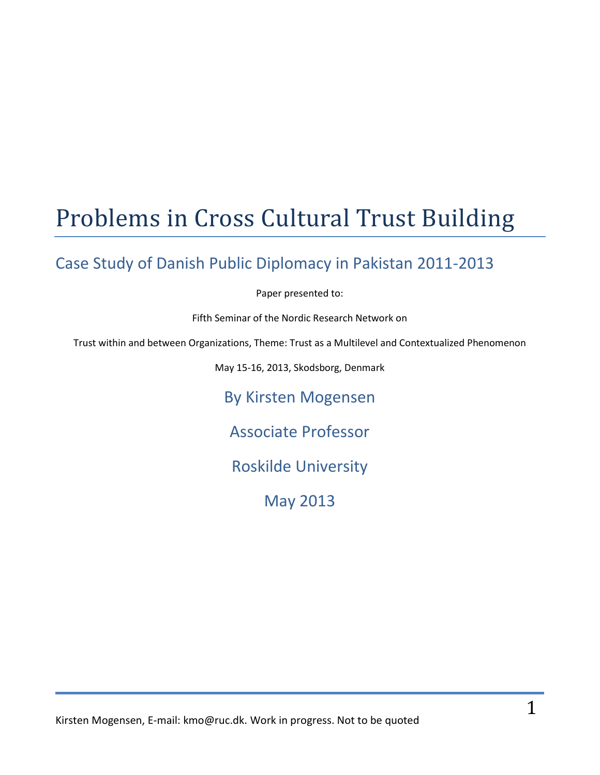# Problems in Cross Cultural Trust Building

## Case Study of Danish Public Diplomacy in Pakistan 2011-2013

Paper presented to:

Fifth Seminar of the Nordic Research Network on

Trust within and between Organizations, Theme: Trust as a Multilevel and Contextualized Phenomenon

May 15-16, 2013, Skodsborg, Denmark

By Kirsten Mogensen

Associate Professor

Roskilde University

May 2013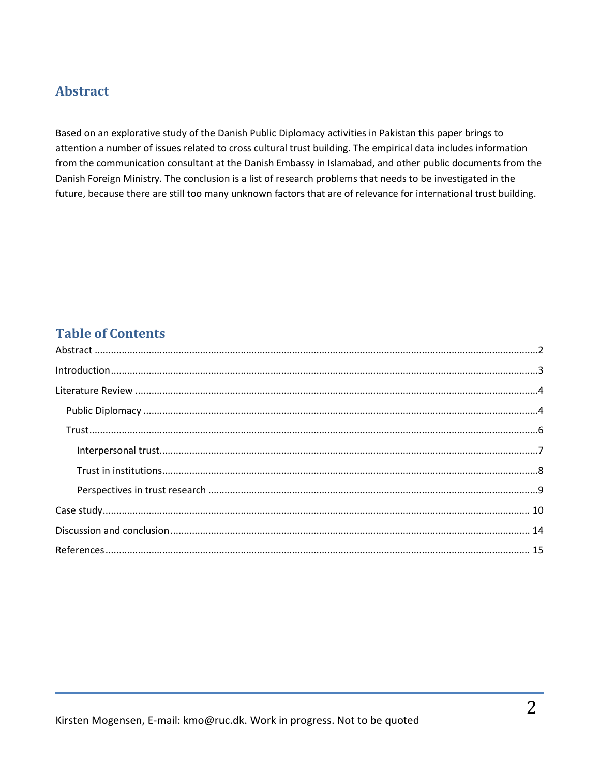## <span id="page-1-0"></span>**Abstract**

Based on an explorative study of the Danish Public Diplomacy activities in Pakistan this paper brings to attention a number of issues related to cross cultural trust building. The empirical data includes information from the communication consultant at the Danish Embassy in Islamabad, and other public documents from the Danish Foreign Ministry. The conclusion is a list of research problems that needs to be investigated in the future, because there are still too many unknown factors that are of relevance for international trust building.

## **Table of Contents**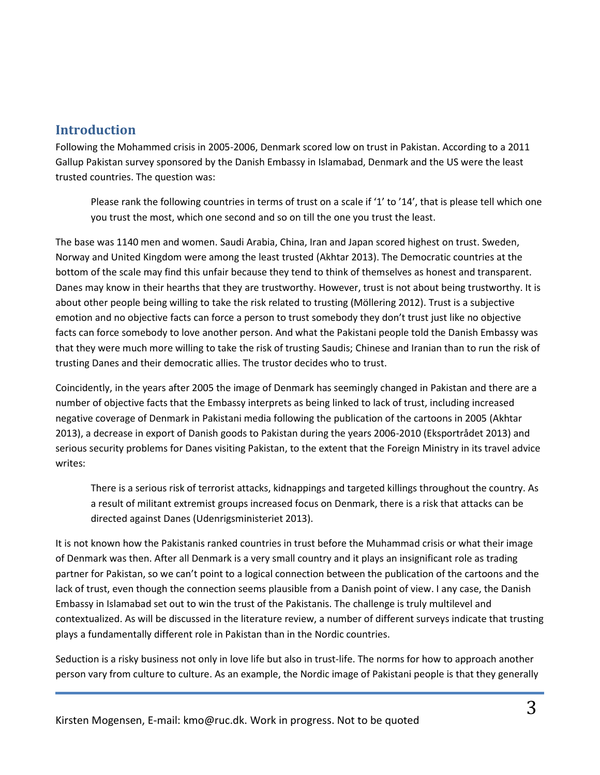## <span id="page-2-0"></span>**Introduction**

Following the Mohammed crisis in 2005-2006, Denmark scored low on trust in Pakistan. According to a 2011 Gallup Pakistan survey sponsored by the Danish Embassy in Islamabad, Denmark and the US were the least trusted countries. The question was:

Please rank the following countries in terms of trust on a scale if '1' to '14', that is please tell which one you trust the most, which one second and so on till the one you trust the least.

The base was 1140 men and women. Saudi Arabia, China, Iran and Japan scored highest on trust. Sweden, Norway and United Kingdom were among the least trusted (Akhtar 2013). The Democratic countries at the bottom of the scale may find this unfair because they tend to think of themselves as honest and transparent. Danes may know in their hearths that they are trustworthy. However, trust is not about being trustworthy. It is about other people being willing to take the risk related to trusting (Möllering 2012). Trust is a subjective emotion and no objective facts can force a person to trust somebody they don't trust just like no objective facts can force somebody to love another person. And what the Pakistani people told the Danish Embassy was that they were much more willing to take the risk of trusting Saudis; Chinese and Iranian than to run the risk of trusting Danes and their democratic allies. The trustor decides who to trust.

Coincidently, in the years after 2005 the image of Denmark has seemingly changed in Pakistan and there are a number of objective facts that the Embassy interprets as being linked to lack of trust, including increased negative coverage of Denmark in Pakistani media following the publication of the cartoons in 2005 (Akhtar 2013), a decrease in export of Danish goods to Pakistan during the years 2006-2010 (Eksportrådet 2013) and serious security problems for Danes visiting Pakistan, to the extent that the Foreign Ministry in its travel advice writes:

There is a serious risk of terrorist attacks, kidnappings and targeted killings throughout the country. As a result of militant extremist groups increased focus on Denmark, there is a risk that attacks can be directed against Danes (Udenrigsministeriet 2013).

It is not known how the Pakistanis ranked countries in trust before the Muhammad crisis or what their image of Denmark was then. After all Denmark is a very small country and it plays an insignificant role as trading partner for Pakistan, so we can't point to a logical connection between the publication of the cartoons and the lack of trust, even though the connection seems plausible from a Danish point of view. I any case, the Danish Embassy in Islamabad set out to win the trust of the Pakistanis. The challenge is truly multilevel and contextualized. As will be discussed in the literature review, a number of different surveys indicate that trusting plays a fundamentally different role in Pakistan than in the Nordic countries.

Seduction is a risky business not only in love life but also in trust-life. The norms for how to approach another person vary from culture to culture. As an example, the Nordic image of Pakistani people is that they generally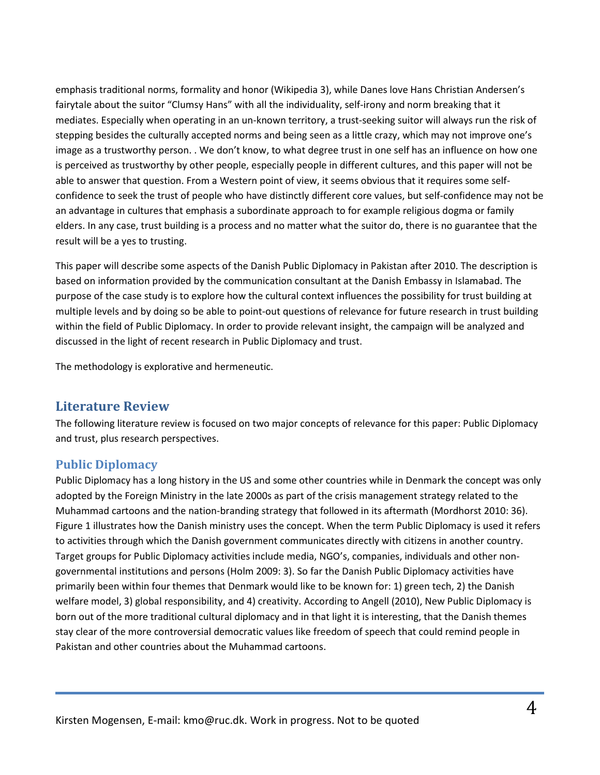emphasis traditional norms, formality and honor (Wikipedia 3), while Danes love Hans Christian Andersen's fairytale about the suitor "Clumsy Hans" with all the individuality, self-irony and norm breaking that it mediates. Especially when operating in an un-known territory, a trust-seeking suitor will always run the risk of stepping besides the culturally accepted norms and being seen as a little crazy, which may not improve one's image as a trustworthy person. . We don't know, to what degree trust in one self has an influence on how one is perceived as trustworthy by other people, especially people in different cultures, and this paper will not be able to answer that question. From a Western point of view, it seems obvious that it requires some selfconfidence to seek the trust of people who have distinctly different core values, but self-confidence may not be an advantage in cultures that emphasis a subordinate approach to for example religious dogma or family elders. In any case, trust building is a process and no matter what the suitor do, there is no guarantee that the result will be a yes to trusting.

This paper will describe some aspects of the Danish Public Diplomacy in Pakistan after 2010. The description is based on information provided by the communication consultant at the Danish Embassy in Islamabad. The purpose of the case study is to explore how the cultural context influences the possibility for trust building at multiple levels and by doing so be able to point-out questions of relevance for future research in trust building within the field of Public Diplomacy. In order to provide relevant insight, the campaign will be analyzed and discussed in the light of recent research in Public Diplomacy and trust.

The methodology is explorative and hermeneutic.

#### <span id="page-3-0"></span>**Literature Review**

The following literature review is focused on two major concepts of relevance for this paper: Public Diplomacy and trust, plus research perspectives.

### <span id="page-3-1"></span>**Public Diplomacy**

Public Diplomacy has a long history in the US and some other countries while in Denmark the concept was only adopted by the Foreign Ministry in the late 2000s as part of the crisis management strategy related to the Muhammad cartoons and the nation-branding strategy that followed in its aftermath (Mordhorst 2010: 36). Figure 1 illustrates how the Danish ministry uses the concept. When the term Public Diplomacy is used it refers to activities through which the Danish government communicates directly with citizens in another country. Target groups for Public Diplomacy activities include media, NGO's, companies, individuals and other nongovernmental institutions and persons (Holm 2009: 3). So far the Danish Public Diplomacy activities have primarily been within four themes that Denmark would like to be known for: 1) green tech, 2) the Danish welfare model, 3) global responsibility, and 4) creativity. According to Angell (2010), New Public Diplomacy is born out of the more traditional cultural diplomacy and in that light it is interesting, that the Danish themes stay clear of the more controversial democratic values like freedom of speech that could remind people in Pakistan and other countries about the Muhammad cartoons.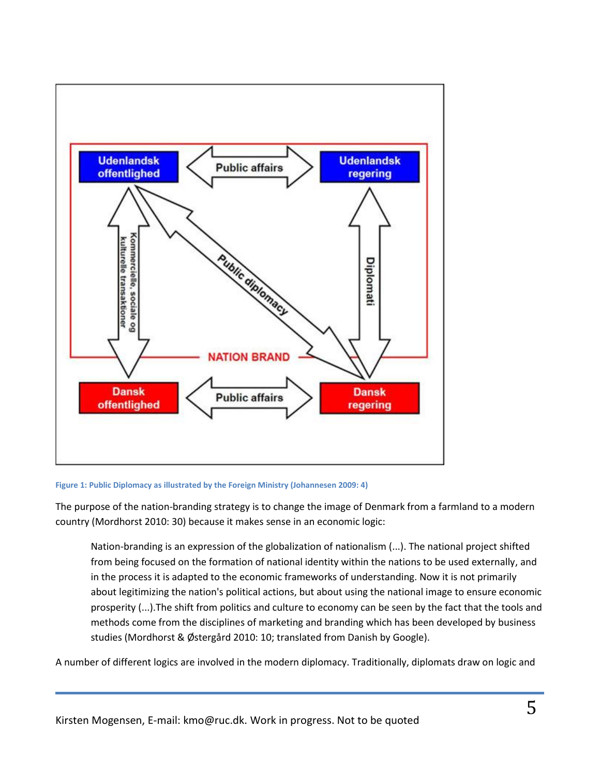

#### **Figure 1: Public Diplomacy as illustrated by the Foreign Ministry (Johannesen 2009: 4)**

The purpose of the nation-branding strategy is to change the image of Denmark from a farmland to a modern country (Mordhorst 2010: 30) because it makes sense in an economic logic:

Nation-branding is an expression of the globalization of nationalism (...). The national project shifted from being focused on the formation of national identity within the nations to be used externally, and in the process it is adapted to the economic frameworks of understanding. Now it is not primarily about legitimizing the nation's political actions, but about using the national image to ensure economic prosperity (...).The shift from politics and culture to economy can be seen by the fact that the tools and methods come from the disciplines of marketing and branding which has been developed by business studies (Mordhorst & Østergård 2010: 10; translated from Danish by Google).

A number of different logics are involved in the modern diplomacy. Traditionally, diplomats draw on logic and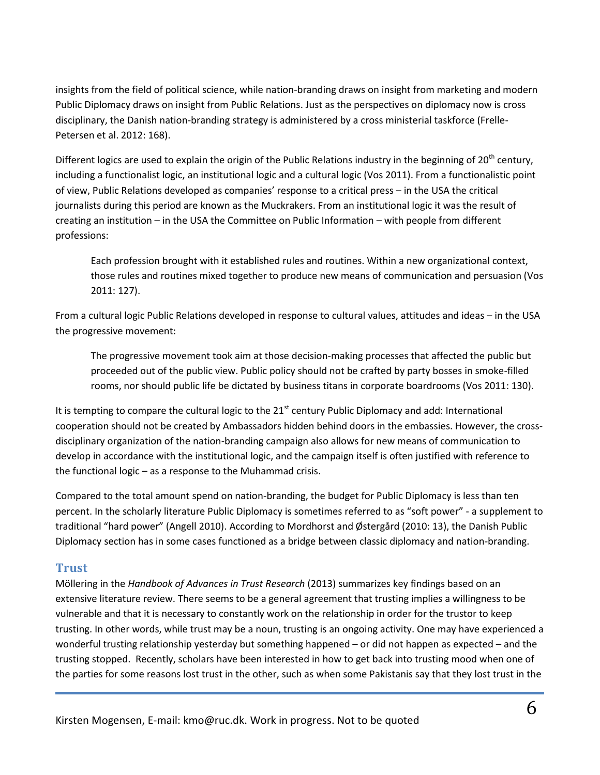insights from the field of political science, while nation-branding draws on insight from marketing and modern Public Diplomacy draws on insight from Public Relations. Just as the perspectives on diplomacy now is cross disciplinary, the Danish nation-branding strategy is administered by a cross ministerial taskforce (Frelle-Petersen et al. 2012: 168).

Different logics are used to explain the origin of the Public Relations industry in the beginning of 20<sup>th</sup> century, including a functionalist logic, an institutional logic and a cultural logic (Vos 2011). From a functionalistic point of view, Public Relations developed as companies' response to a critical press – in the USA the critical journalists during this period are known as the Muckrakers. From an institutional logic it was the result of creating an institution – in the USA the Committee on Public Information – with people from different professions:

Each profession brought with it established rules and routines. Within a new organizational context, those rules and routines mixed together to produce new means of communication and persuasion (Vos 2011: 127).

From a cultural logic Public Relations developed in response to cultural values, attitudes and ideas – in the USA the progressive movement:

The progressive movement took aim at those decision-making processes that affected the public but proceeded out of the public view. Public policy should not be crafted by party bosses in smoke-filled rooms, nor should public life be dictated by business titans in corporate boardrooms (Vos 2011: 130).

It is tempting to compare the cultural logic to the  $21<sup>st</sup>$  century Public Diplomacy and add: International cooperation should not be created by Ambassadors hidden behind doors in the embassies. However, the crossdisciplinary organization of the nation-branding campaign also allows for new means of communication to develop in accordance with the institutional logic, and the campaign itself is often justified with reference to the functional logic – as a response to the Muhammad crisis.

Compared to the total amount spend on nation-branding, the budget for Public Diplomacy is less than ten percent. In the scholarly literature Public Diplomacy is sometimes referred to as "soft power" - a supplement to traditional "hard power" (Angell 2010). According to Mordhorst and Østergård (2010: 13), the Danish Public Diplomacy section has in some cases functioned as a bridge between classic diplomacy and nation-branding.

#### <span id="page-5-0"></span>**Trust**

Möllering in the *Handbook of Advances in Trust Research* (2013) summarizes key findings based on an extensive literature review. There seems to be a general agreement that trusting implies a willingness to be vulnerable and that it is necessary to constantly work on the relationship in order for the trustor to keep trusting. In other words, while trust may be a noun, trusting is an ongoing activity. One may have experienced a wonderful trusting relationship yesterday but something happened – or did not happen as expected – and the trusting stopped. Recently, scholars have been interested in how to get back into trusting mood when one of the parties for some reasons lost trust in the other, such as when some Pakistanis say that they lost trust in the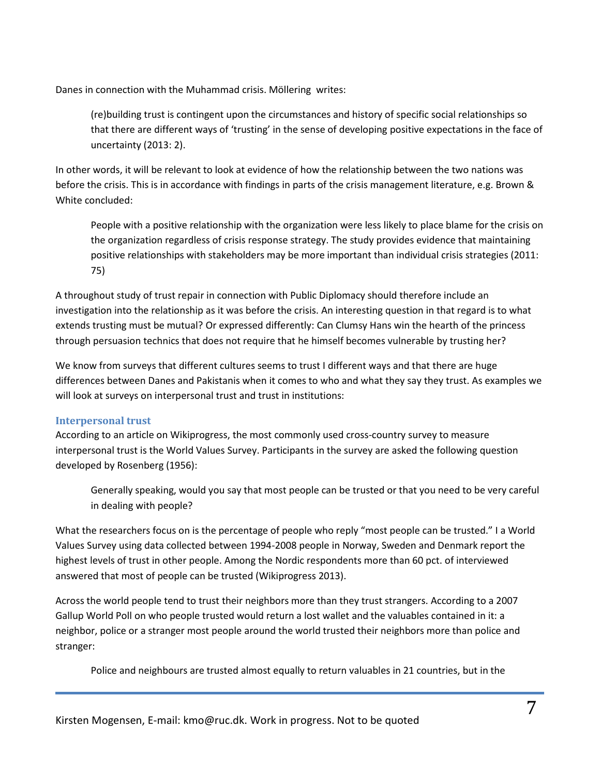Danes in connection with the Muhammad crisis. Möllering writes:

(re)building trust is contingent upon the circumstances and history of specific social relationships so that there are different ways of 'trusting' in the sense of developing positive expectations in the face of uncertainty (2013: 2).

In other words, it will be relevant to look at evidence of how the relationship between the two nations was before the crisis. This is in accordance with findings in parts of the crisis management literature, e.g. Brown & White concluded:

People with a positive relationship with the organization were less likely to place blame for the crisis on the organization regardless of crisis response strategy. The study provides evidence that maintaining positive relationships with stakeholders may be more important than individual crisis strategies (2011: 75)

A throughout study of trust repair in connection with Public Diplomacy should therefore include an investigation into the relationship as it was before the crisis. An interesting question in that regard is to what extends trusting must be mutual? Or expressed differently: Can Clumsy Hans win the hearth of the princess through persuasion technics that does not require that he himself becomes vulnerable by trusting her?

We know from surveys that different cultures seems to trust I different ways and that there are huge differences between Danes and Pakistanis when it comes to who and what they say they trust. As examples we will look at surveys on interpersonal trust and trust in institutions:

#### <span id="page-6-0"></span>**Interpersonal trust**

According to an article on Wikiprogress, the most commonly used cross-country survey to measure interpersonal trust is the World Values Survey. Participants in the survey are asked the following question developed by Rosenberg (1956):

Generally speaking, would you say that most people can be trusted or that you need to be very careful in dealing with people?

What the researchers focus on is the percentage of people who reply "most people can be trusted." I a World Values Survey using data collected between 1994-2008 people in Norway, Sweden and Denmark report the highest levels of trust in other people. Among the Nordic respondents more than 60 pct. of interviewed answered that most of people can be trusted (Wikiprogress 2013).

Across the world people tend to trust their neighbors more than they trust strangers. According to a 2007 Gallup World Poll on who people trusted would return a lost wallet and the valuables contained in it: a neighbor, police or a stranger most people around the world trusted their neighbors more than police and stranger:

Police and neighbours are trusted almost equally to return valuables in 21 countries, but in the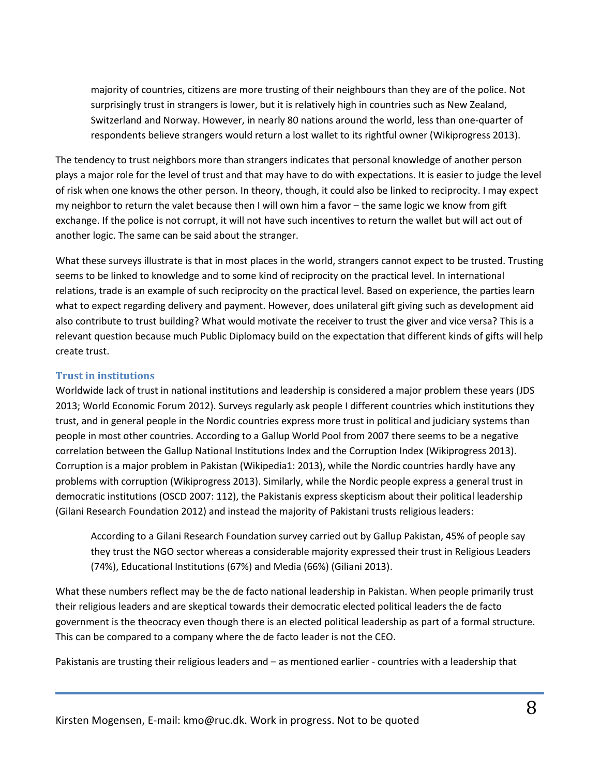majority of countries, citizens are more trusting of their neighbours than they are of the police. Not surprisingly trust in strangers is lower, but it is relatively high in countries such as New Zealand, Switzerland and Norway. However, in nearly 80 nations around the world, less than one-quarter of respondents believe strangers would return a lost wallet to its rightful owner (Wikiprogress 2013).

The tendency to trust neighbors more than strangers indicates that personal knowledge of another person plays a major role for the level of trust and that may have to do with expectations. It is easier to judge the level of risk when one knows the other person. In theory, though, it could also be linked to reciprocity. I may expect my neighbor to return the valet because then I will own him a favor – the same logic we know from gift exchange. If the police is not corrupt, it will not have such incentives to return the wallet but will act out of another logic. The same can be said about the stranger.

What these surveys illustrate is that in most places in the world, strangers cannot expect to be trusted. Trusting seems to be linked to knowledge and to some kind of reciprocity on the practical level. In international relations, trade is an example of such reciprocity on the practical level. Based on experience, the parties learn what to expect regarding delivery and payment. However, does unilateral gift giving such as development aid also contribute to trust building? What would motivate the receiver to trust the giver and vice versa? This is a relevant question because much Public Diplomacy build on the expectation that different kinds of gifts will help create trust.

#### <span id="page-7-0"></span>**Trust in institutions**

Worldwide lack of trust in national institutions and leadership is considered a major problem these years (JDS 2013; World Economic Forum 2012). Surveys regularly ask people I different countries which institutions they trust, and in general people in the Nordic countries express more trust in political and judiciary systems than people in most other countries. According to a Gallup World Pool from 2007 there seems to be a negative correlation between the Gallup National Institutions Index and the Corruption Index (Wikiprogress 2013). Corruption is a major problem in Pakistan (Wikipedia1: 2013), while the Nordic countries hardly have any problems with corruption (Wikiprogress 2013). Similarly, while the Nordic people express a general trust in democratic institutions (OSCD 2007: 112), the Pakistanis express skepticism about their political leadership (Gilani Research Foundation 2012) and instead the majority of Pakistani trusts religious leaders:

According to a Gilani Research Foundation survey carried out by Gallup Pakistan, 45% of people say they trust the NGO sector whereas a considerable majority expressed their trust in Religious Leaders (74%), Educational Institutions (67%) and Media (66%) (Giliani 2013).

What these numbers reflect may be the de facto national leadership in Pakistan. When people primarily trust their religious leaders and are skeptical towards their democratic elected political leaders the de facto government is the theocracy even though there is an elected political leadership as part of a formal structure. This can be compared to a company where the de facto leader is not the CEO.

Pakistanis are trusting their religious leaders and – as mentioned earlier - countries with a leadership that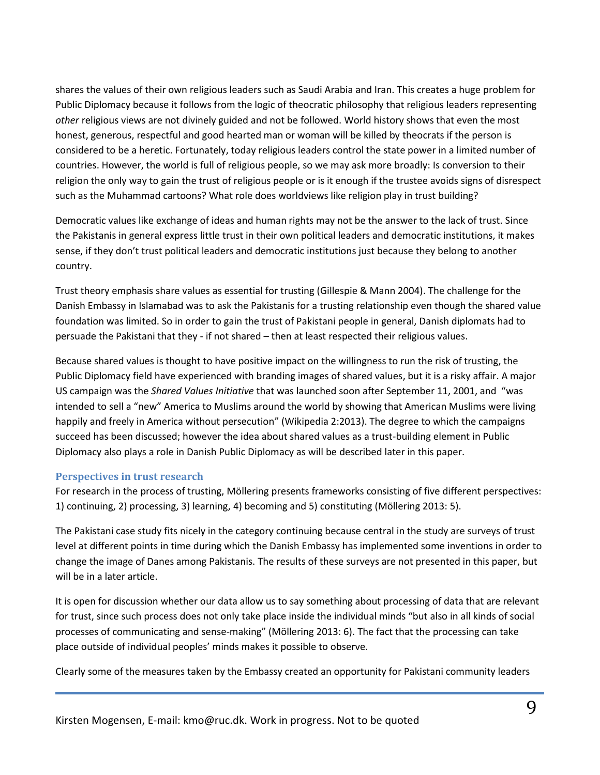shares the values of their own religious leaders such as Saudi Arabia and Iran. This creates a huge problem for Public Diplomacy because it follows from the logic of theocratic philosophy that religious leaders representing *other* religious views are not divinely guided and not be followed. World history shows that even the most honest, generous, respectful and good hearted man or woman will be killed by theocrats if the person is considered to be a heretic. Fortunately, today religious leaders control the state power in a limited number of countries. However, the world is full of religious people, so we may ask more broadly: Is conversion to their religion the only way to gain the trust of religious people or is it enough if the trustee avoids signs of disrespect such as the Muhammad cartoons? What role does worldviews like religion play in trust building?

Democratic values like exchange of ideas and human rights may not be the answer to the lack of trust. Since the Pakistanis in general express little trust in their own political leaders and democratic institutions, it makes sense, if they don't trust political leaders and democratic institutions just because they belong to another country.

Trust theory emphasis share values as essential for trusting (Gillespie & Mann 2004). The challenge for the Danish Embassy in Islamabad was to ask the Pakistanis for a trusting relationship even though the shared value foundation was limited. So in order to gain the trust of Pakistani people in general, Danish diplomats had to persuade the Pakistani that they - if not shared – then at least respected their religious values.

Because shared values is thought to have positive impact on the willingness to run the risk of trusting, the Public Diplomacy field have experienced with branding images of shared values, but it is a risky affair. A major US campaign was the *Shared Values Initiative* that was launched soon after September 11, 2001, and "was intended to sell a "new" America to Muslims around the world by showing that American Muslims were living happily and freely in America without persecution" (Wikipedia 2:2013). The degree to which the campaigns succeed has been discussed; however the idea about shared values as a trust-building element in Public Diplomacy also plays a role in Danish Public Diplomacy as will be described later in this paper.

#### <span id="page-8-0"></span>**Perspectives in trust research**

For research in the process of trusting, Möllering presents frameworks consisting of five different perspectives: 1) continuing, 2) processing, 3) learning, 4) becoming and 5) constituting (Möllering 2013: 5).

The Pakistani case study fits nicely in the category continuing because central in the study are surveys of trust level at different points in time during which the Danish Embassy has implemented some inventions in order to change the image of Danes among Pakistanis. The results of these surveys are not presented in this paper, but will be in a later article.

It is open for discussion whether our data allow us to say something about processing of data that are relevant for trust, since such process does not only take place inside the individual minds "but also in all kinds of social processes of communicating and sense-making" (Möllering 2013: 6). The fact that the processing can take place outside of individual peoples' minds makes it possible to observe.

Clearly some of the measures taken by the Embassy created an opportunity for Pakistani community leaders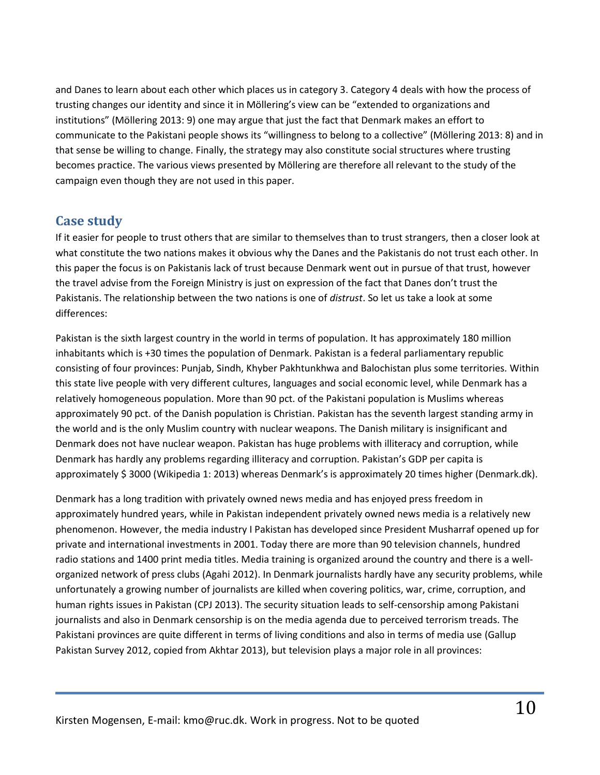and Danes to learn about each other which places us in category 3. Category 4 deals with how the process of trusting changes our identity and since it in Möllering's view can be "extended to organizations and institutions" (Möllering 2013: 9) one may argue that just the fact that Denmark makes an effort to communicate to the Pakistani people shows its "willingness to belong to a collective" (Möllering 2013: 8) and in that sense be willing to change. Finally, the strategy may also constitute social structures where trusting becomes practice. The various views presented by Möllering are therefore all relevant to the study of the campaign even though they are not used in this paper.

## <span id="page-9-0"></span>**Case study**

If it easier for people to trust others that are similar to themselves than to trust strangers, then a closer look at what constitute the two nations makes it obvious why the Danes and the Pakistanis do not trust each other. In this paper the focus is on Pakistanis lack of trust because Denmark went out in pursue of that trust, however the travel advise from the Foreign Ministry is just on expression of the fact that Danes don't trust the Pakistanis. The relationship between the two nations is one of *distrust*. So let us take a look at some differences:

Pakistan is the sixth largest country in the world in terms of population. It has approximately 180 million inhabitants which is +30 times the population of Denmark. Pakistan is a federal parliamentary republic consisting of four provinces: Punjab, Sindh, Khyber Pakhtunkhwa and Balochistan plus some territories. Within this state live people with very different cultures, languages and social economic level, while Denmark has a relatively homogeneous population. More than 90 pct. of the Pakistani population is Muslims whereas approximately 90 pct. of the Danish population is Christian. Pakistan has the seventh largest standing army in the world and is the only Muslim country with nuclear weapons. The Danish military is insignificant and Denmark does not have nuclear weapon. Pakistan has huge problems with illiteracy and corruption, while Denmark has hardly any problems regarding illiteracy and corruption. Pakistan's GDP per capita is approximately \$ 3000 (Wikipedia 1: 2013) whereas Denmark's is approximately 20 times higher (Denmark.dk).

Denmark has a long tradition with privately owned news media and has enjoyed press freedom in approximately hundred years, while in Pakistan independent privately owned news media is a relatively new phenomenon. However, the media industry I Pakistan has developed since President Musharraf opened up for private and international investments in 2001. Today there are more than 90 television channels, hundred radio stations and 1400 print media titles. Media training is organized around the country and there is a wellorganized network of press clubs (Agahi 2012). In Denmark journalists hardly have any security problems, while unfortunately a growing number of journalists are killed when covering politics, war, crime, corruption, and human rights issues in Pakistan (CPJ 2013). The security situation leads to self-censorship among Pakistani journalists and also in Denmark censorship is on the media agenda due to perceived terrorism treads. The Pakistani provinces are quite different in terms of living conditions and also in terms of media use (Gallup Pakistan Survey 2012, copied from Akhtar 2013), but television plays a major role in all provinces: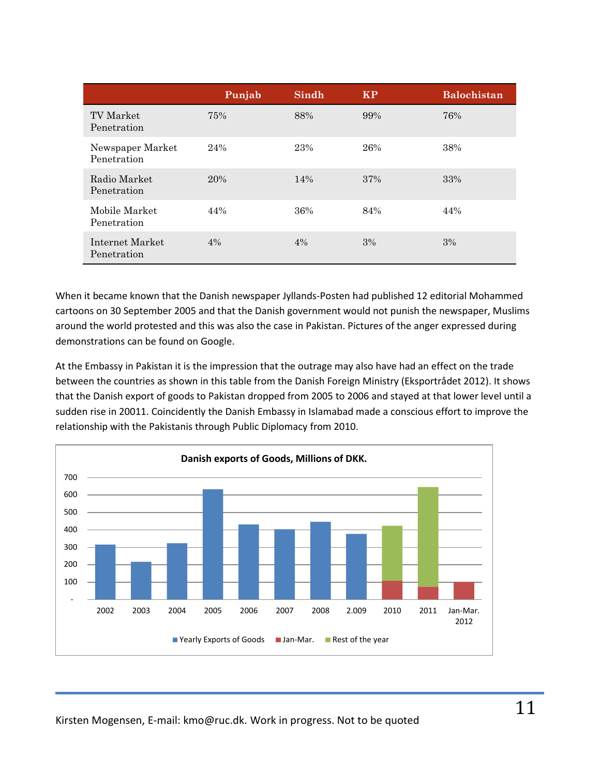|                                 | Punjab | Sindh | <b>KP</b> | <b>Balochistan</b> |
|---------------------------------|--------|-------|-----------|--------------------|
| TV Market<br>Penetration        | 75%    | 88%   | 99%       | 76%                |
| Newspaper Market<br>Penetration | 24%    | 23%   | 26%       | 38%                |
| Radio Market<br>Penetration     | 20%    | 14%   | 37%       | 33%                |
| Mobile Market<br>Penetration    | 44%    | 36%   | 84%       | 44%                |
| Internet Market<br>Penetration  | 4%     | 4%    | 3%        | 3%                 |

When it became known that the Danish newspaper Jyllands-Posten had published 12 editorial Mohammed cartoons on 30 September 2005 and that the Danish government would not punish the newspaper, Muslims around the world protested and this was also the case in Pakistan. Pictures of the anger expressed during demonstrations can be found on Google.

At the Embassy in Pakistan it is the impression that the outrage may also have had an effect on the trade between the countries as shown in this table from the Danish Foreign Ministry (Eksportrådet 2012). It shows that the Danish export of goods to Pakistan dropped from 2005 to 2006 and stayed at that lower level until a sudden rise in 20011. Coincidently the Danish Embassy in Islamabad made a conscious effort to improve the relationship with the Pakistanis through Public Diplomacy from 2010.

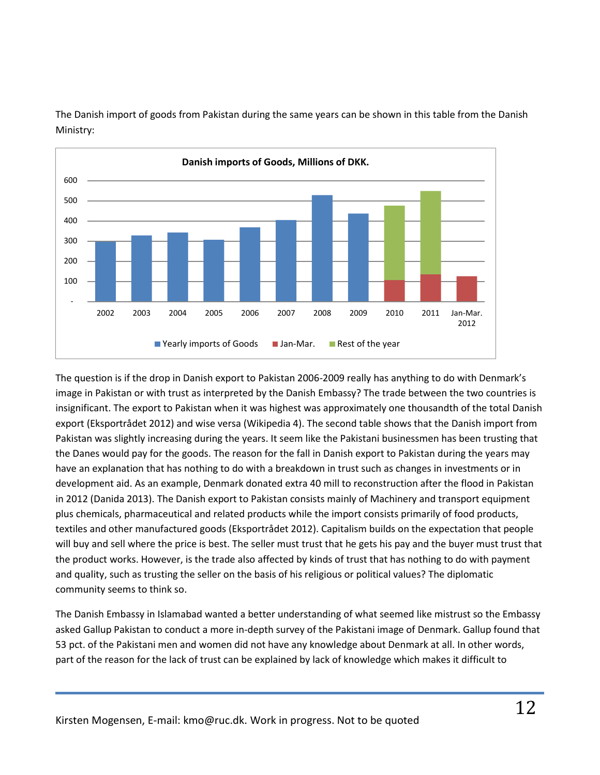

The Danish import of goods from Pakistan during the same years can be shown in this table from the Danish Ministry:

The question is if the drop in Danish export to Pakistan 2006-2009 really has anything to do with Denmark's image in Pakistan or with trust as interpreted by the Danish Embassy? The trade between the two countries is insignificant. The export to Pakistan when it was highest was approximately one thousandth of the total Danish export (Eksportrådet 2012) and wise versa (Wikipedia 4). The second table shows that the Danish import from Pakistan was slightly increasing during the years. It seem like the Pakistani businessmen has been trusting that the Danes would pay for the goods. The reason for the fall in Danish export to Pakistan during the years may have an explanation that has nothing to do with a breakdown in trust such as changes in investments or in development aid. As an example, Denmark donated extra 40 mill to reconstruction after the flood in Pakistan in 2012 (Danida 2013). The Danish export to Pakistan consists mainly of Machinery and transport equipment plus chemicals, pharmaceutical and related products while the import consists primarily of food products, textiles and other manufactured goods (Eksportrådet 2012). Capitalism builds on the expectation that people will buy and sell where the price is best. The seller must trust that he gets his pay and the buyer must trust that the product works. However, is the trade also affected by kinds of trust that has nothing to do with payment and quality, such as trusting the seller on the basis of his religious or political values? The diplomatic community seems to think so.

The Danish Embassy in Islamabad wanted a better understanding of what seemed like mistrust so the Embassy asked Gallup Pakistan to conduct a more in-depth survey of the Pakistani image of Denmark. Gallup found that 53 pct. of the Pakistani men and women did not have any knowledge about Denmark at all. In other words, part of the reason for the lack of trust can be explained by lack of knowledge which makes it difficult to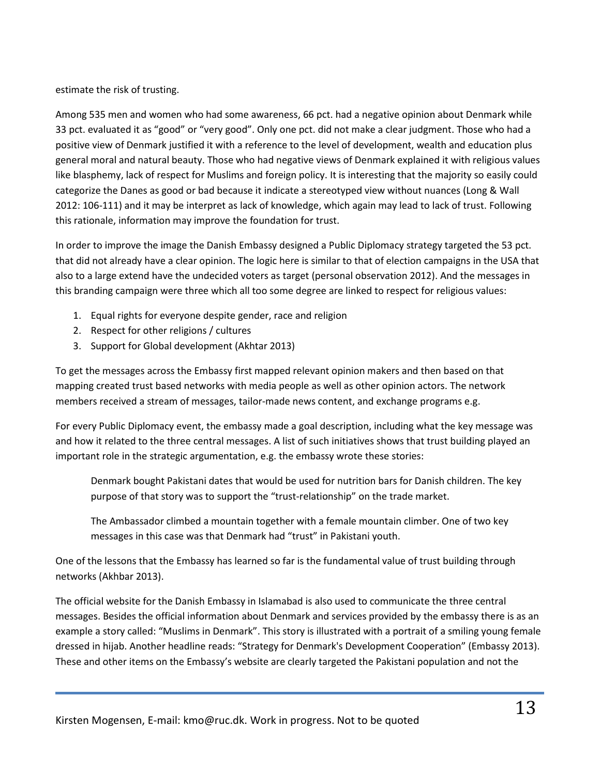estimate the risk of trusting.

Among 535 men and women who had some awareness, 66 pct. had a negative opinion about Denmark while 33 pct. evaluated it as "good" or "very good". Only one pct. did not make a clear judgment. Those who had a positive view of Denmark justified it with a reference to the level of development, wealth and education plus general moral and natural beauty. Those who had negative views of Denmark explained it with religious values like blasphemy, lack of respect for Muslims and foreign policy. It is interesting that the majority so easily could categorize the Danes as good or bad because it indicate a stereotyped view without nuances (Long & Wall 2012: 106-111) and it may be interpret as lack of knowledge, which again may lead to lack of trust. Following this rationale, information may improve the foundation for trust.

In order to improve the image the Danish Embassy designed a Public Diplomacy strategy targeted the 53 pct. that did not already have a clear opinion. The logic here is similar to that of election campaigns in the USA that also to a large extend have the undecided voters as target (personal observation 2012). And the messages in this branding campaign were three which all too some degree are linked to respect for religious values:

- 1. Equal rights for everyone despite gender, race and religion
- 2. Respect for other religions / cultures
- 3. Support for Global development (Akhtar 2013)

To get the messages across the Embassy first mapped relevant opinion makers and then based on that mapping created trust based networks with media people as well as other opinion actors. The network members received a stream of messages, tailor-made news content, and exchange programs e.g.

For every Public Diplomacy event, the embassy made a goal description, including what the key message was and how it related to the three central messages. A list of such initiatives shows that trust building played an important role in the strategic argumentation, e.g. the embassy wrote these stories:

Denmark bought Pakistani dates that would be used for nutrition bars for Danish children. The key purpose of that story was to support the "trust-relationship" on the trade market.

The Ambassador climbed a mountain together with a female mountain climber. One of two key messages in this case was that Denmark had "trust" in Pakistani youth.

One of the lessons that the Embassy has learned so far is the fundamental value of trust building through networks (Akhbar 2013).

The official website for the Danish Embassy in Islamabad is also used to communicate the three central messages. Besides the official information about Denmark and services provided by the embassy there is as an example a story called: "Muslims in Denmark". This story is illustrated with a portrait of a smiling young female dressed in hijab. Another headline reads: "Strategy for Denmark's Development Cooperation" (Embassy 2013). These and other items on the Embassy's website are clearly targeted the Pakistani population and not the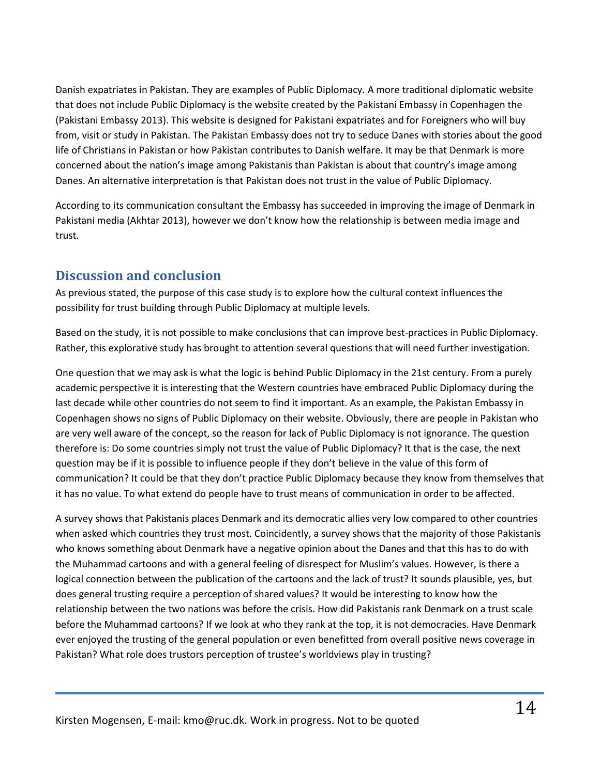Danish expatriates in Pakistan. They are examples of Public Diplomacy. A more traditional diplomatic website that does not include Public Diplomacy is the website created by the Pakistani Embassy in Copenhagen the (Pakistani Embassy 2013). This website is designed for Pakistani expatriates and for Foreigners who will buy from, visit or study in Pakistan. The Pakistan Embassy does not try to seduce Danes with stories about the good life of Christians in Pakistan or how Pakistan contributes to Danish welfare. It may be that Denmark is more concerned about the nation's image among Pakistanis than Pakistan is about that country's image among Danes. An alternative interpretation is that Pakistan does not trust in the value of Public Diplomacy.

According to its communication consultant the Embassy has succeeded in improving the image of Denmark in Pakistani media (Akhtar 2013), however we don't know how the relationship is between media image and trust.

## <span id="page-13-0"></span>**Discussion and conclusion**

As previous stated, the purpose of this case study is to explore how the cultural context influences the possibility for trust building through Public Diplomacy at multiple levels.

Based on the study, it is not possible to make conclusions that can improve best-practices in Public Diplomacy. Rather, this explorative study has brought to attention several questions that will need further investigation.

One question that we may ask is what the logic is behind Public Diplomacy in the 21st century. From a purely academic perspective it is interesting that the Western countries have embraced Public Diplomacy during the last decade while other countries do not seem to find it important. As an example, the Pakistan Embassy in Copenhagen shows no signs of Public Diplomacy on their website. Obviously, there are people in Pakistan who are very well aware of the concept, so the reason for lack of Public Diplomacy is not ignorance. The question therefore is: Do some countries simply not trust the value of Public Diplomacy? It that is the case, the next question may be if it is possible to influence people if they don't believe in the value of this form of communication? It could be that they don't practice Public Diplomacy because they know from themselves that it has no value. To what extend do people have to trust means of communication in order to be affected.

A survey shows that Pakistanis places Denmark and its democratic allies very low compared to other countries when asked which countries they trust most. Coincidently, a survey shows that the majority of those Pakistanis who knows something about Denmark have a negative opinion about the Danes and that this has to do with the Muhammad cartoons and with a general feeling of disrespect for Muslim's values. However, is there a logical connection between the publication of the cartoons and the lack of trust? It sounds plausible, yes, but does general trusting require a perception of shared values? It would be interesting to know how the relationship between the two nations was before the crisis. How did Pakistanis rank Denmark on a trust scale before the Muhammad cartoons? If we look at who they rank at the top, it is not democracies. Have Denmark ever enjoyed the trusting of the general population or even benefitted from overall positive news coverage in Pakistan? What role does trustors perception of trustee's worldviews play in trusting?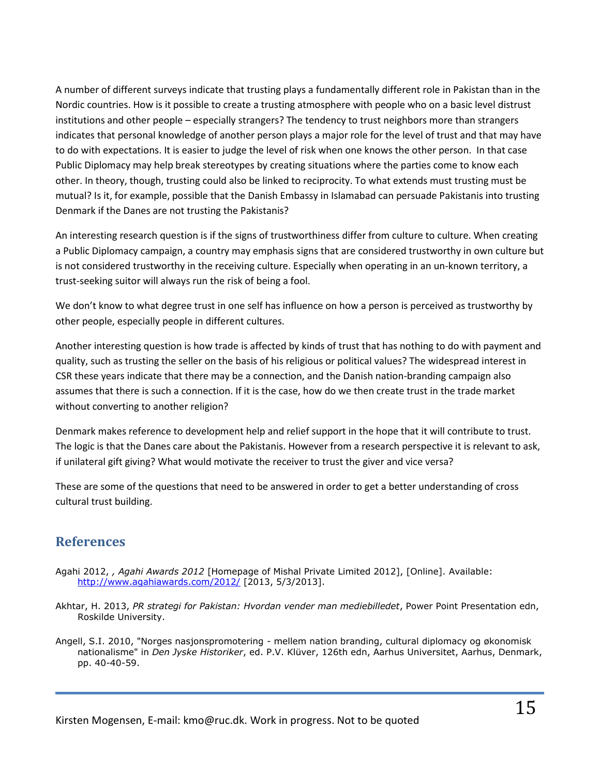A number of different surveys indicate that trusting plays a fundamentally different role in Pakistan than in the Nordic countries. How is it possible to create a trusting atmosphere with people who on a basic level distrust institutions and other people – especially strangers? The tendency to trust neighbors more than strangers indicates that personal knowledge of another person plays a major role for the level of trust and that may have to do with expectations. It is easier to judge the level of risk when one knows the other person. In that case Public Diplomacy may help break stereotypes by creating situations where the parties come to know each other. In theory, though, trusting could also be linked to reciprocity. To what extends must trusting must be mutual? Is it, for example, possible that the Danish Embassy in Islamabad can persuade Pakistanis into trusting Denmark if the Danes are not trusting the Pakistanis?

An interesting research question is if the signs of trustworthiness differ from culture to culture. When creating a Public Diplomacy campaign, a country may emphasis signs that are considered trustworthy in own culture but is not considered trustworthy in the receiving culture. Especially when operating in an un-known territory, a trust-seeking suitor will always run the risk of being a fool.

We don't know to what degree trust in one self has influence on how a person is perceived as trustworthy by other people, especially people in different cultures.

Another interesting question is how trade is affected by kinds of trust that has nothing to do with payment and quality, such as trusting the seller on the basis of his religious or political values? The widespread interest in CSR these years indicate that there may be a connection, and the Danish nation-branding campaign also assumes that there is such a connection. If it is the case, how do we then create trust in the trade market without converting to another religion?

Denmark makes reference to development help and relief support in the hope that it will contribute to trust. The logic is that the Danes care about the Pakistanis. However from a research perspective it is relevant to ask, if unilateral gift giving? What would motivate the receiver to trust the giver and vice versa?

These are some of the questions that need to be answered in order to get a better understanding of cross cultural trust building.

## <span id="page-14-0"></span>**References**

- Agahi 2012, *, Agahi Awards 2012* [Homepage of Mishal Private Limited 2012], [Online]. Available: <http://www.agahiawards.com/2012/> [2013, 5/3/2013].
- Akhtar, H. 2013, *PR strategi for Pakistan: Hvordan vender man mediebilledet*, Power Point Presentation edn, Roskilde University.
- Angell, S.I. 2010, "Norges nasjonspromotering mellem nation branding, cultural diplomacy og økonomisk nationalisme" in *Den Jyske Historiker*, ed. P.V. Klüver, 126th edn, Aarhus Universitet, Aarhus, Denmark, pp. 40-40-59.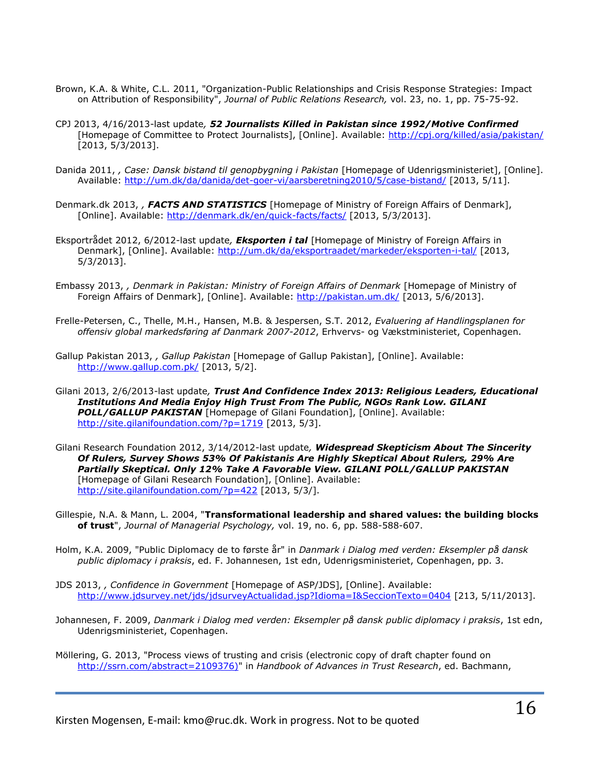- Brown, K.A. & White, C.L. 2011, "Organization-Public Relationships and Crisis Response Strategies: Impact on Attribution of Responsibility", *Journal of Public Relations Research,* vol. 23, no. 1, pp. 75-75-92.
- CPJ 2013, 4/16/2013-last update*, 52 Journalists Killed in Pakistan since 1992/Motive Confirmed* [Homepage of Committee to Protect Journalists], [Online]. Available:<http://cpj.org/killed/asia/pakistan/> [2013, 5/3/2013].
- Danida 2011, *, Case: Dansk bistand til genopbygning i Pakistan* [Homepage of Udenrigsministeriet], [Online]. Available:<http://um.dk/da/danida/det-goer-vi/aarsberetning2010/5/case-bistand/> [2013, 5/11].
- Denmark.dk 2013, *, FACTS AND STATISTICS* [Homepage of Ministry of Foreign Affairs of Denmark], [Online]. Available:<http://denmark.dk/en/quick-facts/facts/> [2013, 5/3/2013].
- Eksportrådet 2012, 6/2012-last update*, Eksporten i tal* [Homepage of Ministry of Foreign Affairs in Denmark], [Online]. Available:<http://um.dk/da/eksportraadet/markeder/eksporten-i-tal/> [2013, 5/3/2013].
- Embassy 2013, *, Denmark in Pakistan: Ministry of Foreign Affairs of Denmark* [Homepage of Ministry of Foreign Affairs of Denmark], [Online]. Available:<http://pakistan.um.dk/> [2013, 5/6/2013].
- Frelle-Petersen, C., Thelle, M.H., Hansen, M.B. & Jespersen, S.T. 2012, *Evaluering af Handlingsplanen for offensiv global markedsføring af Danmark 2007-2012*, Erhvervs- og Vækstministeriet, Copenhagen.
- Gallup Pakistan 2013, *, Gallup Pakistan* [Homepage of Gallup Pakistan], [Online]. Available: <http://www.gallup.com.pk/> [2013, 5/2].
- Gilani 2013, 2/6/2013-last update*, Trust And Confidence Index 2013: Religious Leaders, Educational Institutions And Media Enjoy High Trust From The Public, NGOs Rank Low. GILANI POLL/GALLUP PAKISTAN* [Homepage of Gilani Foundation], [Online]. Available: http://site.qilanifoundation.com/?p=1719 [2013, 5/3].
- Gilani Research Foundation 2012, 3/14/2012-last update*, Widespread Skepticism About The Sincerity Of Rulers, Survey Shows 53% Of Pakistanis Are Highly Skeptical About Rulers, 29% Are Partially Skeptical. Only 12% Take A Favorable View. GILANI POLL/GALLUP PAKISTAN* [Homepage of Gilani Research Foundation], [Online]. Available: <http://site.gilanifoundation.com/?p=422> [2013, 5/3/].
- Gillespie, N.A. & Mann, L. 2004, "**Transformational leadership and shared values: the building blocks of trust**", *Journal of Managerial Psychology,* vol. 19, no. 6, pp. 588-588-607.
- Holm, K.A. 2009, "Public Diplomacy de to første år" in *Danmark i Dialog med verden: Eksempler på dansk public diplomacy i praksis*, ed. F. Johannesen, 1st edn, Udenrigsministeriet, Copenhagen, pp. 3.
- JDS 2013, *, Confidence in Government* [Homepage of ASP/JDS], [Online]. Available: <http://www.jdsurvey.net/jds/jdsurveyActualidad.jsp?Idioma=I&SeccionTexto=0404> [213, 5/11/2013].
- Johannesen, F. 2009, *Danmark i Dialog med verden: Eksempler på dansk public diplomacy i praksis*, 1st edn, Udenrigsministeriet, Copenhagen.
- Möllering, G. 2013, "Process views of trusting and crisis (electronic copy of draft chapter found on [http://ssrn.com/abstract=2109376\)"](http://ssrn.com/abstract=2109376)) in *Handbook of Advances in Trust Research*, ed. Bachmann,